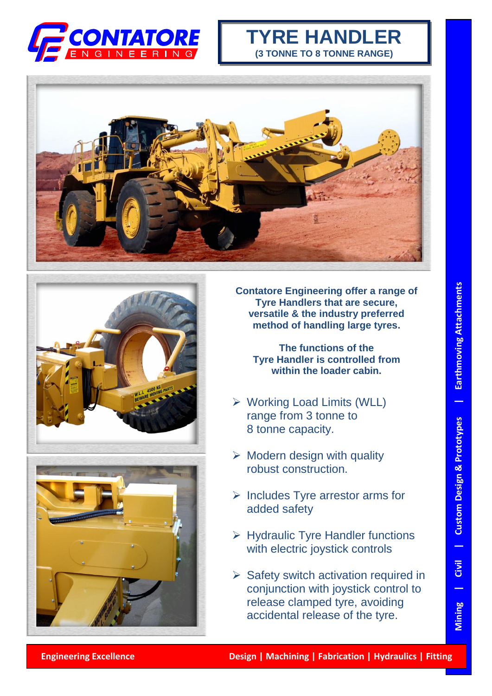

## **TYRE HANDLER (3 TONNE TO 8 TONNE RANGE)**







**Contatore Engineering offer a range of Tyre Handlers that are secure, versatile & the industry preferred method of handling large tyres.**

**The functions of the Tyre Handler is controlled from within the loader cabin.**

- Working Load Limits (WLL) range from 3 tonne to 8 tonne capacity.
- $\triangleright$  Modern design with quality robust construction.
- $\triangleright$  Includes Tyre arrestor arms for added safety
- $\triangleright$  Hydraulic Tyre Handler functions with electric joystick controls
- $\triangleright$  Safety switch activation required in conjunction with joystick control to release clamped tyre, avoiding accidental release of the tyre.